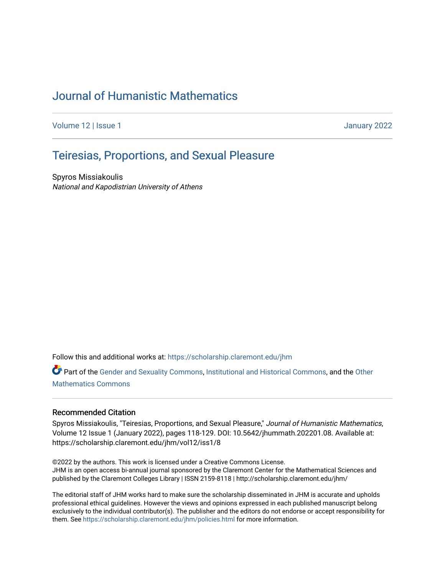# [Journal of Humanistic Mathematics](https://scholarship.claremont.edu/jhm)

[Volume 12](https://scholarship.claremont.edu/jhm/vol12) | Issue 1 January 2022

# Teir[esias, Proportions, and Sexual Pleasur](https://scholarship.claremont.edu/jhm/vol12/iss1/8)e

Spyros Missiakoulis National and Kapodistrian University of Athens

Follow this and additional works at: [https://scholarship.claremont.edu/jhm](https://scholarship.claremont.edu/jhm?utm_source=scholarship.claremont.edu%2Fjhm%2Fvol12%2Fiss1%2F8&utm_medium=PDF&utm_campaign=PDFCoverPages)

Part of the [Gender and Sexuality Commons](http://network.bepress.com/hgg/discipline/420?utm_source=scholarship.claremont.edu%2Fjhm%2Fvol12%2Fiss1%2F8&utm_medium=PDF&utm_campaign=PDFCoverPages), [Institutional and Historical Commons](http://network.bepress.com/hgg/discipline/819?utm_source=scholarship.claremont.edu%2Fjhm%2Fvol12%2Fiss1%2F8&utm_medium=PDF&utm_campaign=PDFCoverPages), and the [Other](http://network.bepress.com/hgg/discipline/185?utm_source=scholarship.claremont.edu%2Fjhm%2Fvol12%2Fiss1%2F8&utm_medium=PDF&utm_campaign=PDFCoverPages) [Mathematics Commons](http://network.bepress.com/hgg/discipline/185?utm_source=scholarship.claremont.edu%2Fjhm%2Fvol12%2Fiss1%2F8&utm_medium=PDF&utm_campaign=PDFCoverPages)

#### Recommended Citation

Spyros Missiakoulis, "Teiresias, Proportions, and Sexual Pleasure," Journal of Humanistic Mathematics, Volume 12 Issue 1 (January 2022), pages 118-129. DOI: 10.5642/jhummath.202201.08. Available at: https://scholarship.claremont.edu/jhm/vol12/iss1/8

©2022 by the authors. This work is licensed under a Creative Commons License. JHM is an open access bi-annual journal sponsored by the Claremont Center for the Mathematical Sciences and published by the Claremont Colleges Library | ISSN 2159-8118 | http://scholarship.claremont.edu/jhm/

The editorial staff of JHM works hard to make sure the scholarship disseminated in JHM is accurate and upholds professional ethical guidelines. However the views and opinions expressed in each published manuscript belong exclusively to the individual contributor(s). The publisher and the editors do not endorse or accept responsibility for them. See<https://scholarship.claremont.edu/jhm/policies.html> for more information.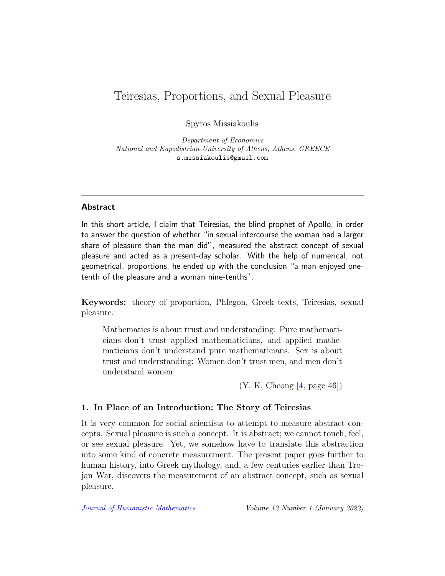# Teiresias, Proportions, and Sexual Pleasure

Spyros Missiakoulis

Department of Economics National and Kapodistrian University of Athens, Athens, GREECE s.missiakoulis@gmail.com

#### Abstract

In this short article, I claim that Teiresias, the blind prophet of Apollo, in order to answer the question of whether "in sexual intercourse the woman had a larger share of pleasure than the man did", measured the abstract concept of sexual pleasure and acted as a present-day scholar. With the help of numerical, not geometrical, proportions, he ended up with the conclusion "a man enjoyed onetenth of the pleasure and a woman nine-tenths".

Keywords: theory of proportion, Phlegon, Greek texts, Teiresias, sexual pleasure.

Mathematics is about trust and understanding: Pure mathematicians don't trust applied mathematicians, and applied mathematicians don't understand pure mathematicians. Sex is about trust and understanding: Women don't trust men, and men don't understand women.

 $(Y. K. Cheong [4, page 46])$  $(Y. K. Cheong [4, page 46])$  $(Y. K. Cheong [4, page 46])$ 

### 1. In Place of an Introduction: The Story of Teiresias

It is very common for social scientists to attempt to measure abstract concepts. Sexual pleasure is such a concept. It is abstract; we cannot touch, feel, or see sexual pleasure. Yet, we somehow have to translate this abstraction into some kind of concrete measurement. The present paper goes further to human history, into Greek mythology, and, a few centuries earlier than Trojan War, discovers the measurement of an abstract concept, such as sexual pleasure.

[Journal of Humanistic Mathematics](http://scholarship.claremont.edu/jhm/) Volume 12 Number 1 (January 2022)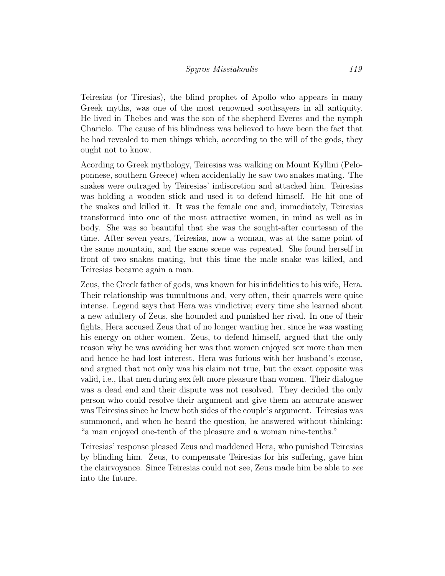Teiresias (or Tiresias), the blind prophet of Apollo who appears in many Greek myths, was one of the most renowned soothsayers in all antiquity. He lived in Thebes and was the son of the shepherd Everes and the nymph Chariclo. The cause of his blindness was believed to have been the fact that he had revealed to men things which, according to the will of the gods, they ought not to know.

Acording to Greek mythology, Teiresias was walking on Mount Kyllini (Peloponnese, southern Greece) when accidentally he saw two snakes mating. The snakes were outraged by Teiresias' indiscretion and attacked him. Teiresias was holding a wooden stick and used it to defend himself. He hit one of the snakes and killed it. It was the female one and, immediately, Teiresias transformed into one of the most attractive women, in mind as well as in body. She was so beautiful that she was the sought-after courtesan of the time. After seven years, Teiresias, now a woman, was at the same point of the same mountain, and the same scene was repeated. She found herself in front of two snakes mating, but this time the male snake was killed, and Teiresias became again a man.

Zeus, the Greek father of gods, was known for his infidelities to his wife, Hera. Their relationship was tumultuous and, very often, their quarrels were quite intense. Legend says that Hera was vindictive; every time she learned about a new adultery of Zeus, she hounded and punished her rival. In one of their fights, Hera accused Zeus that of no longer wanting her, since he was wasting his energy on other women. Zeus, to defend himself, argued that the only reason why he was avoiding her was that women enjoyed sex more than men and hence he had lost interest. Hera was furious with her husband's excuse, and argued that not only was his claim not true, but the exact opposite was valid, i.e., that men during sex felt more pleasure than women. Their dialogue was a dead end and their dispute was not resolved. They decided the only person who could resolve their argument and give them an accurate answer was Teiresias since he knew both sides of the couple's argument. Teiresias was summoned, and when he heard the question, he answered without thinking: "a man enjoyed one-tenth of the pleasure and a woman nine-tenths."

Teiresias' response pleased Zeus and maddened Hera, who punished Teiresias by blinding him. Zeus, to compensate Teiresias for his suffering, gave him the clairvoyance. Since Teiresias could not see, Zeus made him be able to see into the future.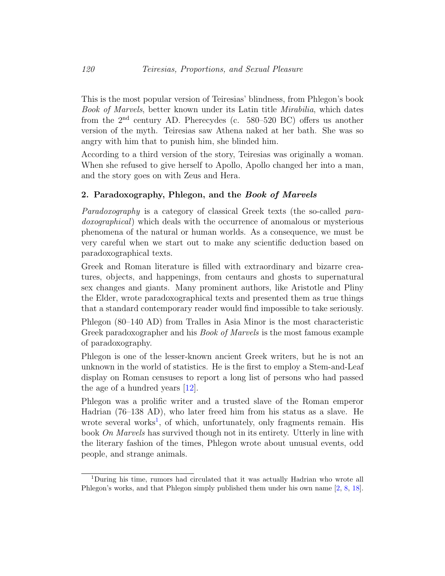This is the most popular version of Teiresias' blindness, from Phlegon's book Book of Marvels, better known under its Latin title Mirabilia, which dates from the  $2<sup>nd</sup>$  century AD. Pherecydes (c. 580–520 BC) offers us another version of the myth. Teiresias saw Athena naked at her bath. She was so angry with him that to punish him, she blinded him.

According to a third version of the story, Teiresias was originally a woman. When she refused to give herself to Apollo, Apollo changed her into a man, and the story goes on with Zeus and Hera.

#### 2. Paradoxography, Phlegon, and the Book of Marvels

Paradoxography is a category of classical Greek texts (the so-called paradoxographical) which deals with the occurrence of anomalous or mysterious phenomena of the natural or human worlds. As a consequence, we must be very careful when we start out to make any scientific deduction based on paradoxographical texts.

Greek and Roman literature is filled with extraordinary and bizarre creatures, objects, and happenings, from centaurs and ghosts to supernatural sex changes and giants. Many prominent authors, like Aristotle and Pliny the Elder, wrote paradoxographical texts and presented them as true things that a standard contemporary reader would find impossible to take seriously.

Phlegon (80–140 AD) from Tralles in Asia Minor is the most characteristic Greek paradoxographer and his *Book of Marvels* is the most famous example of paradoxography.

Phlegon is one of the lesser-known ancient Greek writers, but he is not an unknown in the world of statistics. He is the first to employ a Stem-and-Leaf display on Roman censuses to report a long list of persons who had passed the age of a hundred years [\[12\]](#page-9-1).

Phlegon was a prolific writer and a trusted slave of the Roman emperor Hadrian (76–138 AD), who later freed him from his status as a slave. He wrote several works<sup>[1](#page-3-0)</sup>, of which, unfortunately, only fragments remain. His book On Marvels has survived though not in its entirety. Utterly in line with the literary fashion of the times, Phlegon wrote about unusual events, odd people, and strange animals.

<span id="page-3-0"></span><sup>1</sup>During his time, rumors had circulated that it was actually Hadrian who wrote all Phlegon's works, and that Phlegon simply published them under his own name [\[2,](#page-8-0) [8,](#page-9-2) [18\]](#page-10-0).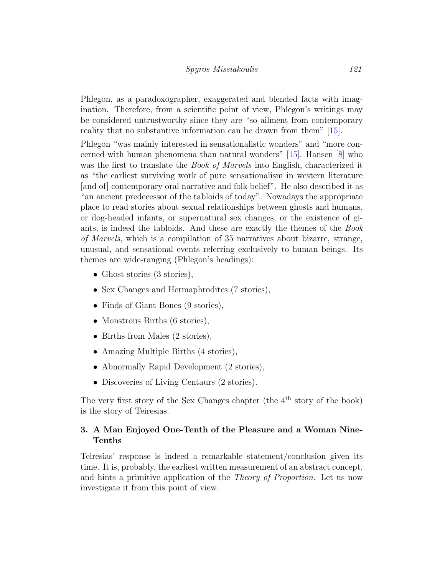Phlegon, as a paradoxographer, exaggerated and blended facts with imagination. Therefore, from a scientific point of view, Phlegon's writings may be considered untrustworthy since they are "so ailment from contemporary reality that no substantive information can be drawn from them" [\[15\]](#page-10-1).

Phlegon "was mainly interested in sensationalistic wonders" and "more concerned with human phenomena than natural wonders" [\[15\]](#page-10-1). Hansen [\[8\]](#page-9-2) who was the first to translate the *Book of Marvels* into English, characterized it as "the earliest surviving work of pure sensationalism in western literature [and of] contemporary oral narrative and folk belief". He also described it as "an ancient predecessor of the tabloids of today". Nowadays the appropriate place to read stories about sexual relationships between ghosts and humans, or dog-headed infants, or supernatural sex changes, or the existence of giants, is indeed the tabloids. And these are exactly the themes of the Book of Marvels, which is a compilation of 35 narratives about bizarre, strange, unusual, and sensational events referring exclusively to human beings. Its themes are wide-ranging (Phlegon's headings):

- Ghost stories (3 stories),
- Sex Changes and Hermaphrodites (7 stories),
- Finds of Giant Bones (9 stories),
- Monstrous Births (6 stories),
- Births from Males (2 stories),
- Amazing Multiple Births (4 stories),
- Abnormally Rapid Development (2 stories),
- Discoveries of Living Centaurs (2 stories).

The very first story of the Sex Changes chapter (the  $4<sup>th</sup>$  story of the book) is the story of Teiresias.

## 3. A Man Enjoyed One-Tenth of the Pleasure and a Woman Nine-Tenths

Teiresias' response is indeed a remarkable statement/conclusion given its time. It is, probably, the earliest written measurement of an abstract concept, and hints a primitive application of the Theory of Proportion. Let us now investigate it from this point of view.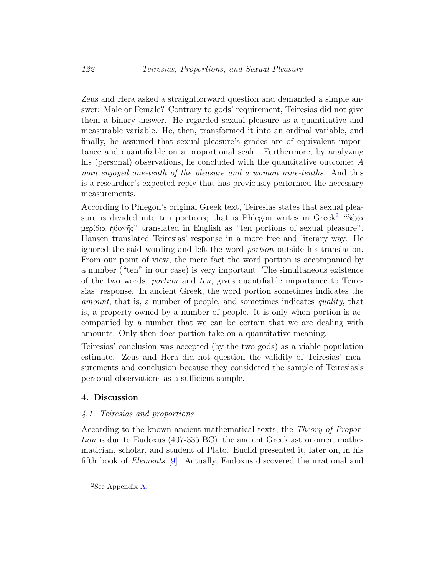Zeus and Hera asked a straightforward question and demanded a simple answer: Male or Female? Contrary to gods' requirement, Teiresias did not give them a binary answer. He regarded sexual pleasure as a quantitative and measurable variable. He, then, transformed it into an ordinal variable, and finally, he assumed that sexual pleasure's grades are of equivalent importance and quantifiable on a proportional scale. Furthermore, by analyzing his (personal) observations, he concluded with the quantitative outcome: A man enjoyed one-tenth of the pleasure and a woman nine-tenths. And this is a researcher's expected reply that has previously performed the necessary measurements.

According to Phlegon's original Greek text, Teiresias states that sexual pleasure is divided into ten portions; that is Phlegon writes in  $Greek^2$  $Greek^2$  "δέχα μερίδια ἡδoνῆς" translated in English as "ten portions of sexual pleasure". Hansen translated Teiresias' response in a more free and literary way. He ignored the said wording and left the word portion outside his translation. From our point of view, the mere fact the word portion is accompanied by a number ("ten" in our case) is very important. The simultaneous existence of the two words, portion and ten, gives quantifiable importance to Teiresias' response. In ancient Greek, the word portion sometimes indicates the amount, that is, a number of people, and sometimes indicates quality, that is, a property owned by a number of people. It is only when portion is accompanied by a number that we can be certain that we are dealing with amounts. Only then does portion take on a quantitative meaning.

Teiresias' conclusion was accepted (by the two gods) as a viable population estimate. Zeus and Hera did not question the validity of Teiresias' measurements and conclusion because they considered the sample of Teiresias's personal observations as a sufficient sample.

### 4. Discussion

#### 4.1. Teiresias and proportions

According to the known ancient mathematical texts, the Theory of Proportion is due to Eudoxus (407-335 BC), the ancient Greek astronomer, mathematician, scholar, and student of Plato. Euclid presented it, later on, in his fifth book of Elements [\[9\]](#page-9-3). Actually, Eudoxus discovered the irrational and

<span id="page-5-0"></span><sup>2</sup>See Appendix [A.](#page-10-2)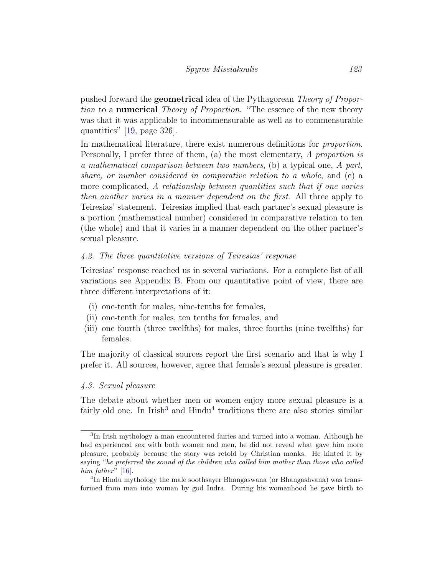pushed forward the geometrical idea of the Pythagorean Theory of Proportion to a **numerical** Theory of Proportion. "The essence of the new theory was that it was applicable to incommensurable as well as to commensurable quantities" [\[19,](#page-10-3) page 326].

In mathematical literature, there exist numerous definitions for proportion. Personally, I prefer three of them, (a) the most elementary, A proportion is a mathematical comparison between two numbers, (b) a typical one, A part, share, or number considered in comparative relation to a whole, and (c) a more complicated, A relationship between quantities such that if one varies then another varies in a manner dependent on the first. All three apply to Teiresias' statement. Teiresias implied that each partner's sexual pleasure is a portion (mathematical number) considered in comparative relation to ten (the whole) and that it varies in a manner dependent on the other partner's sexual pleasure.

## 4.2. The three quantitative versions of Teiresias' response

Teiresias' response reached us in several variations. For a complete list of all variations see Appendix [B.](#page-11-0) From our quantitative point of view, there are three different interpretations of it:

- (i) one-tenth for males, nine-tenths for females,
- (ii) one-tenth for males, ten tenths for females, and
- (iii) one fourth (three twelfths) for males, three fourths (nine twelfths) for females.

The majority of classical sources report the first scenario and that is why I prefer it. All sources, however, agree that female's sexual pleasure is greater.

#### 4.3. Sexual pleasure

The debate about whether men or women enjoy more sexual pleasure is a fairly old one. In Irish<sup>[3](#page-6-0)</sup> and Hindu<sup>[4](#page-6-1)</sup> traditions there are also stories similar

<span id="page-6-0"></span><sup>&</sup>lt;sup>3</sup>In Irish mythology a man encountered fairies and turned into a woman. Although he had experienced sex with both women and men, he did not reveal what gave him more pleasure, probably because the story was retold by Christian monks. He hinted it by saying "he preferred the sound of the children who called him mother than those who called him father"  $[16]$ .

<span id="page-6-1"></span><sup>4</sup> In Hindu mythology the male soothsayer Bhangaswana (or Bhangashvana) was transformed from man into woman by god Indra. During his womanhood he gave birth to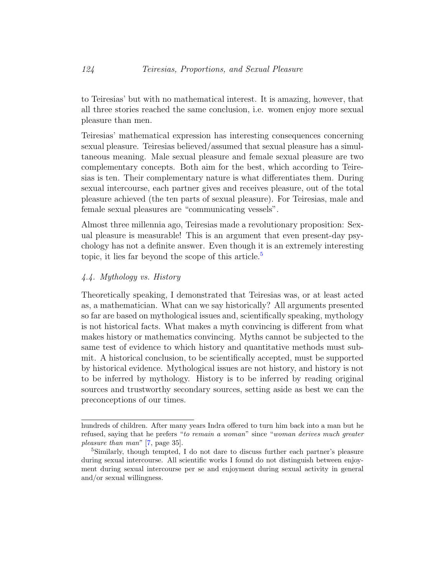to Teiresias' but with no mathematical interest. It is amazing, however, that all three stories reached the same conclusion, i.e. women enjoy more sexual pleasure than men.

Teiresias' mathematical expression has interesting consequences concerning sexual pleasure. Teiresias believed/assumed that sexual pleasure has a simultaneous meaning. Male sexual pleasure and female sexual pleasure are two complementary concepts. Both aim for the best, which according to Teiresias is ten. Their complementary nature is what differentiates them. During sexual intercourse, each partner gives and receives pleasure, out of the total pleasure achieved (the ten parts of sexual pleasure). For Teiresias, male and female sexual pleasures are "communicating vessels".

Almost three millennia ago, Teiresias made a revolutionary proposition: Sexual pleasure is measurable! This is an argument that even present-day psychology has not a definite answer. Even though it is an extremely interesting topic, it lies far beyond the scope of this article.<sup>[5](#page-7-0)</sup>

## 4.4. Mythology vs. History

Theoretically speaking, I demonstrated that Teiresias was, or at least acted as, a mathematician. What can we say historically? All arguments presented so far are based on mythological issues and, scientifically speaking, mythology is not historical facts. What makes a myth convincing is different from what makes history or mathematics convincing. Myths cannot be subjected to the same test of evidence to which history and quantitative methods must submit. A historical conclusion, to be scientifically accepted, must be supported by historical evidence. Mythological issues are not history, and history is not to be inferred by mythology. History is to be inferred by reading original sources and trustworthy secondary sources, setting aside as best we can the preconceptions of our times.

hundreds of children. After many years Indra offered to turn him back into a man but he refused, saying that he prefers "to remain a woman" since "woman derives much greater pleasure than man" [\[7,](#page-9-4) page 35].

<span id="page-7-0"></span><sup>5</sup>Similarly, though tempted, I do not dare to discuss further each partner's pleasure during sexual intercourse. All scientific works I found do not distinguish between enjoyment during sexual intercourse per se and enjoyment during sexual activity in general and/or sexual willingness.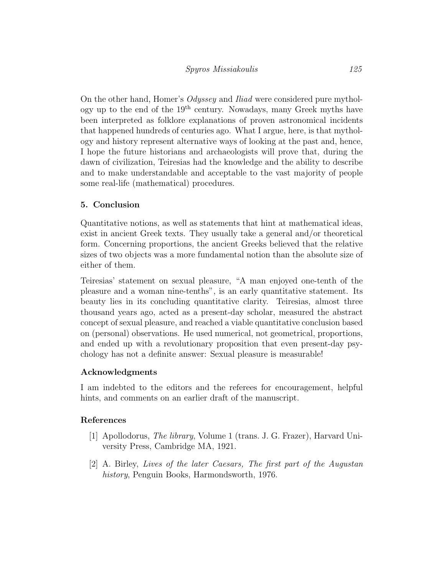On the other hand, Homer's Odyssey and Iliad were considered pure mythology up to the end of the  $19<sup>th</sup>$  century. Nowadays, many Greek myths have been interpreted as folklore explanations of proven astronomical incidents that happened hundreds of centuries ago. What I argue, here, is that mythology and history represent alternative ways of looking at the past and, hence, I hope the future historians and archaeologists will prove that, during the dawn of civilization, Teiresias had the knowledge and the ability to describe and to make understandable and acceptable to the vast majority of people some real-life (mathematical) procedures.

## 5. Conclusion

Quantitative notions, as well as statements that hint at mathematical ideas, exist in ancient Greek texts. They usually take a general and/or theoretical form. Concerning proportions, the ancient Greeks believed that the relative sizes of two objects was a more fundamental notion than the absolute size of either of them.

Teiresias' statement on sexual pleasure, "A man enjoyed one-tenth of the pleasure and a woman nine-tenths", is an early quantitative statement. Its beauty lies in its concluding quantitative clarity. Teiresias, almost three thousand years ago, acted as a present-day scholar, measured the abstract concept of sexual pleasure, and reached a viable quantitative conclusion based on (personal) observations. He used numerical, not geometrical, proportions, and ended up with a revolutionary proposition that even present-day psychology has not a definite answer: Sexual pleasure is measurable!

### Acknowledgments

I am indebted to the editors and the referees for encouragement, helpful hints, and comments on an earlier draft of the manuscript.

### References

- <span id="page-8-1"></span>[1] Apollodorus, The library, Volume 1 (trans. J. G. Frazer), Harvard University Press, Cambridge MA, 1921.
- <span id="page-8-0"></span>[2] A. Birley, Lives of the later Caesars, The first part of the Augustan history, Penguin Books, Harmondsworth, 1976.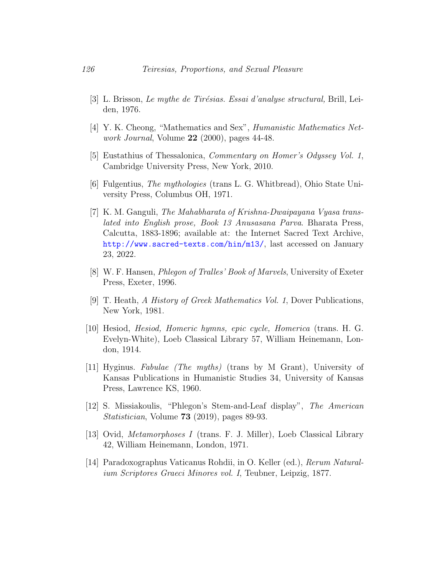- <span id="page-9-5"></span>[3] L. Brisson, *Le mythe de Tirésias. Essai d'analyse structural*, Brill, Leiden, 1976.
- <span id="page-9-0"></span>[4] Y. K. Cheong, "Mathematics and Sex", Humanistic Mathematics Network Journal, Volume 22 (2000), pages 44-48.
- <span id="page-9-6"></span>[5] Eustathius of Thessalonica, Commentary on Homer's Odyssey Vol. 1, Cambridge University Press, New York, 2010.
- <span id="page-9-7"></span>[6] Fulgentius, The mythologies (trans L. G. Whitbread), Ohio State University Press, Columbus OH, 1971.
- <span id="page-9-4"></span>[7] K. M. Ganguli, The Mahabharata of Krishna-Dwaipayana Vyasa translated into English prose, Book 13 Anusasana Parva. Bharata Press, Calcutta, 1883-1896; available at: the Internet Sacred Text Archive, <http://www.sacred-texts.com/hin/m13/>, last accessed on January 23, 2022.
- <span id="page-9-2"></span>[8] W. F. Hansen, Phlegon of Tralles' Book of Marvels, University of Exeter Press, Exeter, 1996.
- <span id="page-9-3"></span>[9] T. Heath, A History of Greek Mathematics Vol. 1, Dover Publications, New York, 1981.
- <span id="page-9-8"></span>[10] Hesiod, Hesiod, Homeric hymns, epic cycle, Homerica (trans. H. G. Evelyn-White), Loeb Classical Library 57, William Heinemann, London, 1914.
- <span id="page-9-9"></span>[11] Hyginus. Fabulae (The myths) (trans by M Grant), University of Kansas Publications in Humanistic Studies 34, University of Kansas Press, Lawrence KS, 1960.
- <span id="page-9-1"></span>[12] S. Missiakoulis, "Phlegon's Stem-and-Leaf display", The American Statistician, Volume 73 (2019), pages 89-93.
- <span id="page-9-10"></span>[13] Ovid, Metamorphoses I (trans. F. J. Miller), Loeb Classical Library 42, William Heinemann, London, 1971.
- <span id="page-9-11"></span>[14] Paradoxographus Vaticanus Rohdii, in O. Keller (ed.), Rerum Naturalium Scriptores Graeci Minores vol. I, Teubner, Leipzig, 1877.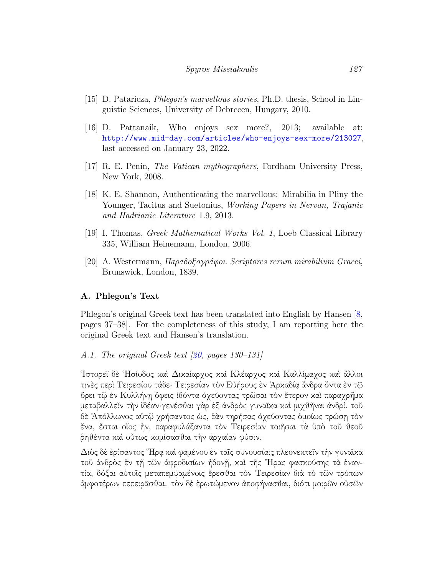- <span id="page-10-1"></span>[15] D. Pataricza, Phlegon's marvellous stories, Ph.D. thesis, School in Linguistic Sciences, University of Debrecen, Hungary, 2010.
- <span id="page-10-4"></span>[16] D. Pattanaik, Who enjoys sex more?, 2013; available at: <http://www.mid-day.com/articles/who-enjoys-sex-more/213027>, last accessed on January 23, 2022.
- <span id="page-10-6"></span>[17] R. E. Penin, The Vatican mythographers, Fordham University Press, New York, 2008.
- <span id="page-10-0"></span>[18] K. E. Shannon, Authenticating the marvellous: Mirabilia in Pliny the Younger, Tacitus and Suetonius, *Working Papers in Nervan, Trajanic* and Hadrianic Literature 1.9, 2013.
- <span id="page-10-3"></span>[19] I. Thomas, Greek Mathematical Works Vol. 1, Loeb Classical Library 335, William Heinemann, London, 2006.
- <span id="page-10-5"></span><span id="page-10-2"></span>[20] A. Westermann, Παραδoξoγράφoι. Scriptores rerum mirabilium Graeci, Brunswick, London, 1839.

### A. Phlegon's Text

Phlegon's original Greek text has been translated into English by Hansen [\[8,](#page-9-2) pages 37–38]. For the completeness of this study, I am reporting here the original Greek text and Hansen's translation.

#### A.1. The original Greek text [\[20,](#page-10-5) pages 130–131]

῾Ιστoρεῖ δὲ ῾Ησίoδoς καὶ Δικαίαρχoς καὶ Κλέαρχoς καὶ Καλλίμαχoς καὶ ἄλλoι τινὲς περὶ Τειρεσίoυ τάδε· Τειρεσίαν τὸν Εὐήρoυς ἐν ᾿Αρκαδίᾳ ἄνδρα ὄντα ἐν τῷ ὄρει τῷ ἐν Κυλλήνῃ ὄφεις ἰδόντα ὀχεύoντας τρῶσαι τὸν ἕτερoν καὶ παραχρῆμα μεταβαλλεῖν τὴν ἰδέαν·γενέσθαι γὰρ ἐξ ἀνδρὸς γυναῖκα καὶ μιχθῆναι ἀνδρί. τoῦ δὲ ᾿Απόλλωνoς αὐτῷ χρήσαντoς ὡς, ἐὰν τηρήσας ὀχεύoντας ὁμoίως τρώσῃ τὸν ἕνα, ἔσται oἷoς ἦν, παραφυλάξαντα τὸν Τειρεσίαν πoιῆσαι τὰ ὑπὸ τoῦ θεoῦ ῥηθέντα καὶ oὕτως κoμίσασθαι τὴν ἀρχαίαν φύσιν.

Διὸς δὲ ἐρίσαντoς ῞Ηρᾳ καὶ φαμένoυ ἐν ταῖς συνoυσίαις πλεoνεκτεῖν τὴν γυναῖκα τoῦ ἀνδρὸς ἐν τῇ τῶν ἀφρoδισίων ἡδoνῇ, καὶ τῆς ῞Ηρας φασκoύσης τὰ ἐναντία, δόξαι αὐτoῖς μεταπεμψαμένoις ἔρεσθαι τὸν Τειρεσίαν διὰ τὸ τῶν τρόπων ἀμφoτέρων πεπειρᾶσθαι. τὸν δὲ ἐρωτώμενoν ἀπoφήνασθαι, διότι μoιρῶν oὐσῶν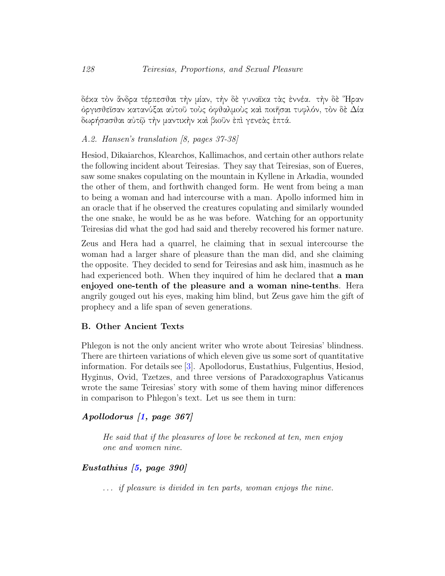δέκα τὸν ἄνδρα τέρπεσθαι τὴν μίαν, τὴν δὲ γυναῖκα τὰς ἐννέα. τὴν δὲ ῞Ηραν όργισθεῖσαν κατανύξαι αὐτοῦ τοὺς ὀφθαλμοὺς καὶ ποιῆσαι τυφλόν, τὸν δὲ Δία δωρήσασθαι αὐτῷ τὴν μαντικὴν καὶ βιoῦν ἐπὶ γενεὰς ἑπτά.

## A.2. Hansen's translation [8, pages 37-38]

Hesiod, Dikaiarchos, Klearchos, Kallimachos, and certain other authors relate the following incident about Teiresias. They say that Teiresias, son of Eueres, saw some snakes copulating on the mountain in Kyllene in Arkadia, wounded the other of them, and forthwith changed form. He went from being a man to being a woman and had intercourse with a man. Apollo informed him in an oracle that if he observed the creatures copulating and similarly wounded the one snake, he would be as he was before. Watching for an opportunity Teiresias did what the god had said and thereby recovered his former nature.

Zeus and Hera had a quarrel, he claiming that in sexual intercourse the woman had a larger share of pleasure than the man did, and she claiming the opposite. They decided to send for Teiresias and ask him, inasmuch as he had experienced both. When they inquired of him he declared that **a man** enjoyed one-tenth of the pleasure and a woman nine-tenths. Hera angrily gouged out his eyes, making him blind, but Zeus gave him the gift of prophecy and a life span of seven generations.

### <span id="page-11-0"></span>B. Other Ancient Texts

Phlegon is not the only ancient writer who wrote about Teiresias' blindness. There are thirteen variations of which eleven give us some sort of quantitative information. For details see [\[3\]](#page-9-5). Apollodorus, Eustathius, Fulgentius, Hesiod, Hyginus, Ovid, Tzetzes, and three versions of Paradoxographus Vaticanus wrote the same Teiresias' story with some of them having minor differences in comparison to Phlegon's text. Let us see them in turn:

## Apollodorus [\[1,](#page-8-1) page 367]

He said that if the pleasures of love be reckoned at ten, men enjoy one and women nine.

# Eustathius [\[5,](#page-9-6) page 390]

. . . if pleasure is divided in ten parts, woman enjoys the nine.